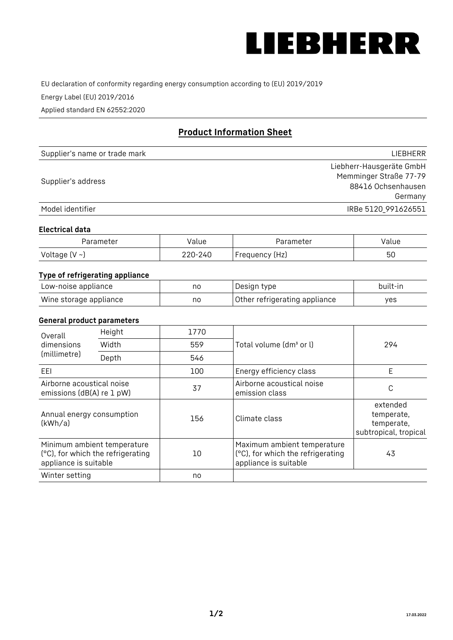

EU declaration of conformity regarding energy consumption according to (EU) 2019/2019

Energy Label (EU) 2019/2016

Applied standard EN 62552:2020

# **Product Information Sheet**

| Supplier's name or trade mark | LIEBHERR                 |
|-------------------------------|--------------------------|
|                               | Liebherr-Hausgeräte GmbH |
| Supplier's address            | Memminger Straße 77-79   |
|                               | 88416 Ochsenhausen       |
|                               | Germany                  |
| Model identifier              | IRBe 5120 991626551      |

### **Electrical data**

| Parameter     | Value   | Parameter      | Value |
|---------------|---------|----------------|-------|
| Voltage (V ~) | 220-240 | Frequency (Hz) | 50    |

# **Type of refrigerating appliance**

| Low-noise appliance    | no | Design type                   | built-in |
|------------------------|----|-------------------------------|----------|
| Wine storage appliance | no | Other refrigerating appliance | ves      |

### **General product parameters**

| Height<br>Overall                                      |                                                                  | 1770 |                                                                                           |                                                               |
|--------------------------------------------------------|------------------------------------------------------------------|------|-------------------------------------------------------------------------------------------|---------------------------------------------------------------|
| Width<br>dimensions<br>(millimetre)<br>Depth           |                                                                  | 559  | Total volume (dm <sup>3</sup> or l)                                                       | 294                                                           |
|                                                        |                                                                  | 546  |                                                                                           |                                                               |
| EEL                                                    |                                                                  | 100  | Energy efficiency class                                                                   | E                                                             |
| Airborne acoustical noise<br>emissions (dB(A) re 1 pW) |                                                                  | 37   | Airborne acoustical noise<br>emission class                                               | C                                                             |
| Annual energy consumption<br>(kWh/a)                   |                                                                  | 156  | Climate class                                                                             | extended<br>temperate,<br>temperate,<br>subtropical, tropical |
| appliance is suitable                                  | Minimum ambient temperature<br>(°C), for which the refrigerating | 10   | Maximum ambient temperature<br>(°C), for which the refrigerating<br>appliance is suitable | 43                                                            |
| Winter setting                                         |                                                                  | no   |                                                                                           |                                                               |